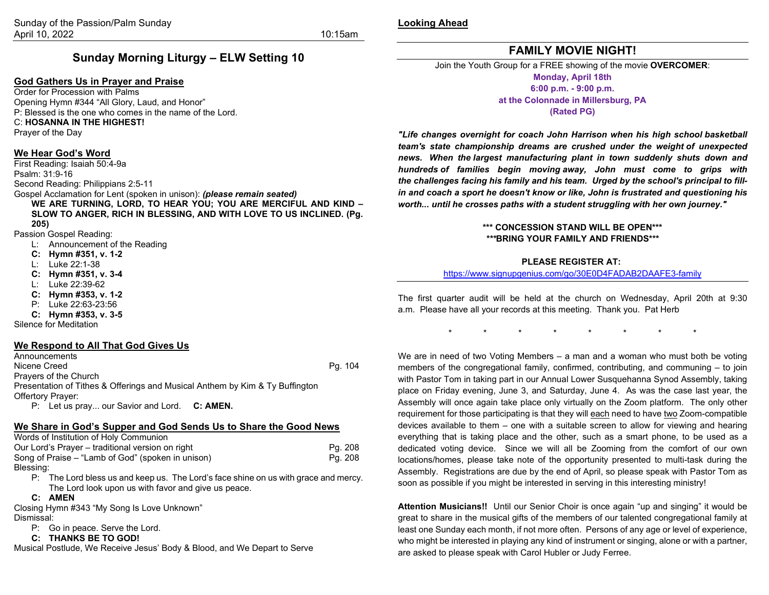**Looking Ahead**

# **Sunday Morning Liturgy – ELW Setting 10**

#### **God Gathers Us in Prayer and Praise**

Order for Procession with Palms Opening Hymn #344 "All Glory, Laud, and Honor" P: Blessed is the one who comes in the name of the Lord. C: **HOSANNA IN THE HIGHEST!** Prayer of the Day

#### **We Hear God's Word**

First Reading: Isaiah 50:4-9a Psalm: 31:9-16 Second Reading: Philippians 2:5-11 Gospel Acclamation for Lent (spoken in unison): *(please remain seated)* **WE ARE TURNING, LORD, TO HEAR YOU; YOU ARE MERCIFUL AND KIND –** 

**SLOW TO ANGER, RICH IN BLESSING, AND WITH LOVE TO US INCLINED. (Pg. 205)**

Passion Gospel Reading:

- L: Announcement of the Reading
- **C: Hymn #351, v. 1-2**
- L: Luke 22:1-38
- **C: Hymn #351, v. 3-4**
- L: Luke 22:39-62
- **C: Hymn #353, v. 1-2**
- P: Luke 22:63-23:56
- **C: Hymn #353, v. 3-5**

Silence for Meditation

#### **We Respond to All That God Gives Us**

**Announcements** Nicene Creed **Pg. 104** Prayers of the Church Presentation of Tithes & Offerings and Musical Anthem by Kim & Ty Buffington Offertory Prayer: P: Let us pray... our Savior and Lord. **C: AMEN.**

### **We Share in God's Supper and God Sends Us to Share the Good News**

Words of Institution of Holy Communion Our Lord's Prayer – traditional version on right<br>
Song of Praise – "Lamb of God" (spoken in unison) Pg. 208 Song of Praise – "Lamb of God" (spoken in unison) Blessing:

P: The Lord bless us and keep us. The Lord's face shine on us with grace and mercy. The Lord look upon us with favor and give us peace.

**C: AMEN**

Closing Hymn #343 "My Song Is Love Unknown" Dismissal:

P: Go in peace. Serve the Lord.

#### **C: THANKS BE TO GOD!**

Musical Postlude, We Receive Jesus' Body & Blood, and We Depart to Serve

**FAMILY MOVIE NIGHT!**

Join the Youth Group for a FREE showing of the movie **OVERCOMER**: **Monday, April 18th 6:00 p.m. - 9:00 p.m. at the Colonnade in Millersburg, PA**

**(Rated PG)**

*"Life changes overnight for coach John Harrison when his high school basketball team's state championship dreams are crushed under the weight of unexpected news. When the largest manufacturing plant in town suddenly shuts down and hundreds of families begin moving away, John must come to grips with the challenges facing his family and his team. Urged by the school's principal to fillin and coach a sport he doesn't know or like, John is frustrated and questioning his worth... until he crosses paths with a student struggling with her own journey."*

#### **\*\*\* CONCESSION STAND WILL BE OPEN\*\*\*** *\*\*\****BRING YOUR FAMILY AND FRIENDS\*\*\***

#### **PLEASE REGISTER AT:**

#### <https://www.signupgenius.com/go/30E0D4FADAB2DAAFE3-family>

The first quarter audit will be held at the church on Wednesday, April 20th at 9:30 a.m. Please have all your records at this meeting. Thank you. Pat Herb

\* \* \* \* \* \* \* \*

We are in need of two Voting Members – a man and a woman who must both be voting members of the congregational family, confirmed, contributing, and communing – to join with Pastor Tom in taking part in our Annual Lower Susquehanna Synod Assembly, taking place on Friday evening, June 3, and Saturday, June 4. As was the case last year, the Assembly will once again take place only virtually on the Zoom platform. The only other requirement for those participating is that they will each need to have two Zoom-compatible devices available to them – one with a suitable screen to allow for viewing and hearing everything that is taking place and the other, such as a smart phone, to be used as a dedicated voting device. Since we will all be Zooming from the comfort of our own locations/homes, please take note of the opportunity presented to multi-task during the Assembly. Registrations are due by the end of April, so please speak with Pastor Tom as soon as possible if you might be interested in serving in this interesting ministry!

**Attention Musicians!!** Until our Senior Choir is once again "up and singing" it would be great to share in the musical gifts of the members of our talented congregational family at least one Sunday each month, if not more often. Persons of any age or level of experience, who might be interested in playing any kind of instrument or singing, alone or with a partner, are asked to please speak with Carol Hubler or Judy Ferree.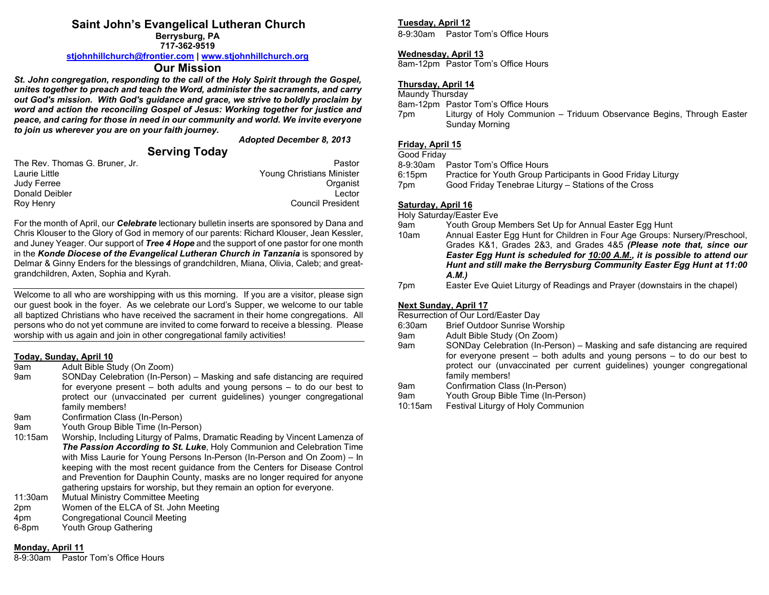# **Saint John's Evangelical Lutheran Church**

**Berrysburg, PA 717-362-9519**

#### **[stjohnhillchurch@frontier.com](mailto:stjohnhillchurch@frontier.com) | [www.stjohnhillchurch.org](http://www.stjohnhillchurch.org/)**

## **Our Mission**

*St. John congregation, responding to the call of the Holy Spirit through the Gospel, unites together to preach and teach the Word, administer the sacraments, and carry out God's mission. With God's guidance and grace, we strive to boldly proclaim by word and action the reconciling Gospel of Jesus: Working together for justice and peace, and caring for those in need in our community and world. We invite everyone to join us wherever you are on your faith journey.*

*Adopted December 8, 2013*

# **Serving Today**

| Pastor                           |
|----------------------------------|
| <b>Young Christians Minister</b> |
| Organist                         |
| Lector                           |
| <b>Council President</b>         |
|                                  |

For the month of April, our *Celebrate* lectionary bulletin inserts are sponsored by Dana and Chris Klouser to the Glory of God in memory of our parents: Richard Klouser, Jean Kessler, and Juney Yeager. Our support of *Tree 4 Hope* and the support of one pastor for one month in the *Konde Diocese of the Evangelical Lutheran Church in Tanzania* is sponsored by Delmar & Ginny Enders for the blessings of grandchildren, Miana, Olivia, Caleb; and greatgrandchildren, Axten, Sophia and Kyrah.

Welcome to all who are worshipping with us this morning. If you are a visitor, please sign our guest book in the foyer. As we celebrate our Lord's Supper, we welcome to our table all baptized Christians who have received the sacrament in their home congregations. All persons who do not yet commune are invited to come forward to receive a blessing. Please worship with us again and join in other congregational family activities!

#### **Today, Sunday, April 10**

- 9am Adult Bible Study (On Zoom)
- 9am SONDay Celebration (In-Person) Masking and safe distancing are required for everyone present – both adults and young persons – to do our best to protect our (unvaccinated per current guidelines) younger congregational family members!
- 9am Confirmation Class (In-Person)
- 9am Youth Group Bible Time (In-Person)
- 10:15am Worship, Including Liturgy of Palms, Dramatic Reading by Vincent Lamenza of *The Passion According to St. Luke*, Holy Communion and Celebration Time with Miss Laurie for Young Persons In-Person (In-Person and On Zoom) – In keeping with the most recent guidance from the Centers for Disease Control and Prevention for Dauphin County, masks are no longer required for anyone gathering upstairs for worship, but they remain an option for everyone.
- 11:30am Mutual Ministry Committee Meeting
- 2pm Women of the ELCA of St. John Meeting
- 4pm Congregational Council Meeting
- 6-8pm Youth Group Gathering

#### **Monday, April 11**

8-9:30am Pastor Tom's Office Hours

#### **Tuesday, April 12**

8-9:30am Pastor Tom's Office Hours

#### **Wednesday, April 13**

8am-12pm Pastor Tom's Office Hours

#### **Thursday, April 14**

Maundy Thursday

8am-12pm Pastor Tom's Office Hours

7pm Liturgy of Holy Communion – Triduum Observance Begins, Through Easter Sunday Morning

#### **Friday, April 15**

Good Friday

8-9:30am Pastor Tom's Office Hours<br>6:15pm Practice for Youth Group P

Practice for Youth Group Participants in Good Friday Liturgy

7pm Good Friday Tenebrae Liturgy – Stations of the Cross

#### **Saturday, April 16**

Holy Saturday/Easter Eve<br>9am Youth Group I

- Youth Group Members Set Up for Annual Easter Egg Hunt
- 10am Annual Easter Egg Hunt for Children in Four Age Groups: Nursery/Preschool, Grades K&1, Grades 2&3, and Grades 4&5 *(Please note that, since our Easter Egg Hunt is scheduled for 10:00 A.M., it is possible to attend our Hunt and still make the Berrysburg Community Easter Egg Hunt at 11:00 A.M.)*
- 7pm Easter Eve Quiet Liturgy of Readings and Prayer (downstairs in the chapel)

#### **Next Sunday, April 17**

Resurrection of Our Lord/Easter Day

- 6:30am Brief Outdoor Sunrise Worship
- 9am Adult Bible Study (On Zoom)
- 9am SONDay Celebration (In-Person) Masking and safe distancing are required for everyone present – both adults and young persons – to do our best to protect our (unvaccinated per current guidelines) younger congregational family members!
- 9am Confirmation Class (In-Person)
- 9am Youth Group Bible Time (In-Person)
- 10:15am Festival Liturgy of Holy Communion